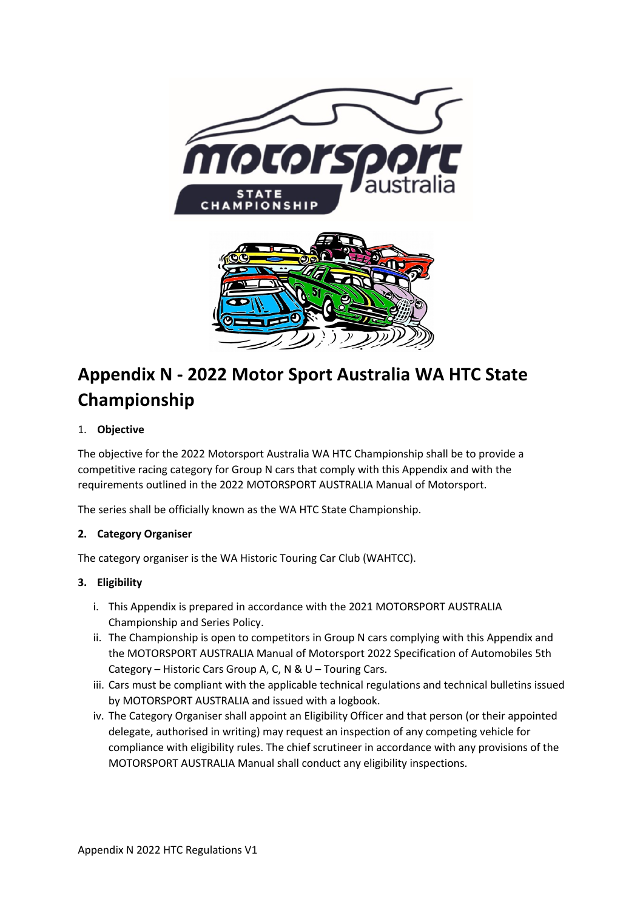

# **Appendix N - 2022 Motor Sport Australia WA HTC State Championship**

# 1. **Objective**

The objective for the 2022 Motorsport Australia WA HTC Championship shall be to provide a competitive racing category for Group N cars that comply with this Appendix and with the requirements outlined in the 2022 MOTORSPORT AUSTRALIA Manual of Motorsport.

The series shall be officially known as the WA HTC State Championship.

# **2. Category Organiser**

The category organiser is the WA Historic Touring Car Club (WAHTCC).

# **3. Eligibility**

- i. This Appendix is prepared in accordance with the 2021 MOTORSPORT AUSTRALIA Championship and Series Policy.
- ii. The Championship is open to competitors in Group N cars complying with this Appendix and the MOTORSPORT AUSTRALIA Manual of Motorsport 2022 Specification of Automobiles 5th Category – Historic Cars Group A, C, N & U – Touring Cars.
- iii. Cars must be compliant with the applicable technical regulations and technical bulletins issued by MOTORSPORT AUSTRALIA and issued with a logbook.
- iv. The Category Organiser shall appoint an Eligibility Officer and that person (or their appointed delegate, authorised in writing) may request an inspection of any competing vehicle for compliance with eligibility rules. The chief scrutineer in accordance with any provisions of the MOTORSPORT AUSTRALIA Manual shall conduct any eligibility inspections.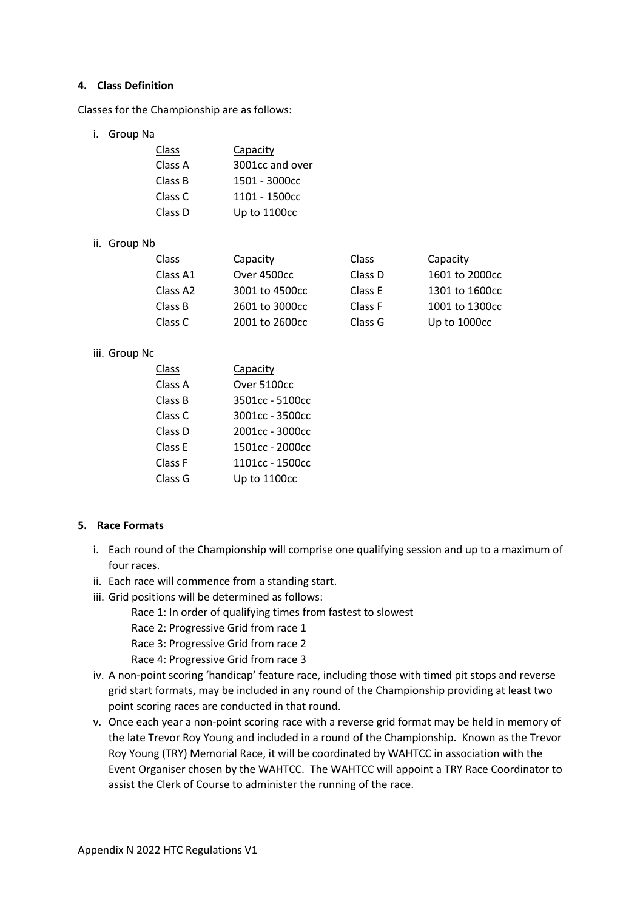### **4. Class Definition**

Classes for the Championship are as follows:

i. Group Na

| <b>Class</b> | Capacity        |
|--------------|-----------------|
| Class A      | 3001cc and over |
| Class B      | 1501 - 3000cc   |
| Class C      | 1101 - 1500cc   |
| Class D      | Up to 1100cc    |

## ii. Group Nb

| <b>Class</b> | Capacity       | Class   | Capacity       |
|--------------|----------------|---------|----------------|
| Class A1     | Over 4500cc    | Class D | 1601 to 2000cc |
| Class A2     | 3001 to 4500cc | Class E | 1301 to 1600cc |
| Class B      | 2601 to 3000cc | Class F | 1001 to 1300cc |
| Class C      | 2001 to 2600cc | Class G | Up to 1000cc   |

#### iii. Group Nc

| Class   | Capacity        |
|---------|-----------------|
| Class A | Over 5100cc     |
| Class B | 3501cc - 5100cc |
| Class C | 3001cc - 3500cc |
| Class D | 2001cc - 3000cc |
| Class E | 1501cc - 2000cc |
| Class F | 1101cc - 1500cc |
| Class G | Up to 1100cc    |

# **5. Race Formats**

- i. Each round of the Championship will comprise one qualifying session and up to a maximum of four races.
- ii. Each race will commence from a standing start.
- iii. Grid positions will be determined as follows:
	- Race 1: In order of qualifying times from fastest to slowest
	- Race 2: Progressive Grid from race 1
	- Race 3: Progressive Grid from race 2
	- Race 4: Progressive Grid from race 3
- iv. A non-point scoring 'handicap' feature race, including those with timed pit stops and reverse grid start formats, may be included in any round of the Championship providing at least two point scoring races are conducted in that round.
- v. Once each year a non-point scoring race with a reverse grid format may be held in memory of the late Trevor Roy Young and included in a round of the Championship. Known as the Trevor Roy Young (TRY) Memorial Race, it will be coordinated by WAHTCC in association with the Event Organiser chosen by the WAHTCC. The WAHTCC will appoint a TRY Race Coordinator to assist the Clerk of Course to administer the running of the race.